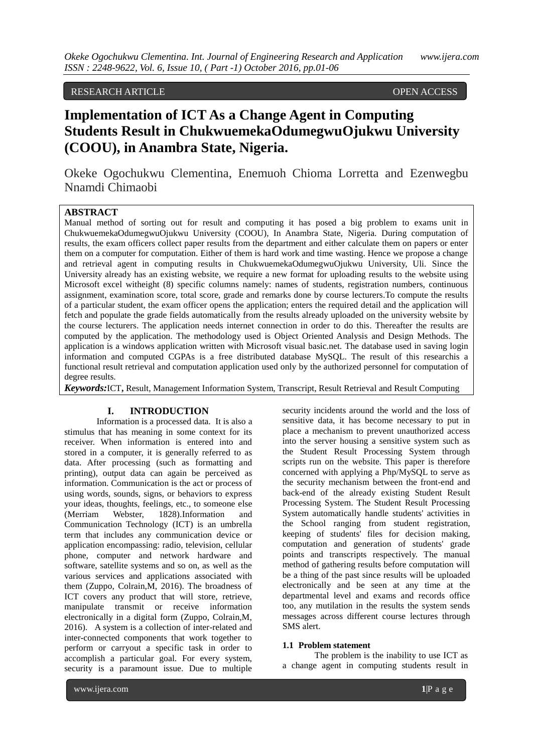## RESEARCH ARTICLE OPEN ACCESS

## **Implementation of ICT As a Change Agent in Computing Students Result in ChukwuemekaOdumegwuOjukwu University (COOU), in Anambra State, Nigeria.**

Okeke Ogochukwu Clementina, Enemuoh Chioma Lorretta and Ezenwegbu Nnamdi Chimaobi

## **ABSTRACT**

Manual method of sorting out for result and computing it has posed a big problem to exams unit in ChukwuemekaOdumegwuOjukwu University (COOU), In Anambra State, Nigeria. During computation of results, the exam officers collect paper results from the department and either calculate them on papers or enter them on a computer for computation. Either of them is hard work and time wasting. Hence we propose a change and retrieval agent in computing results in ChukwuemekaOdumegwuOjukwu University, Uli. Since the University already has an existing website, we require a new format for uploading results to the website using Microsoft excel witheight (8) specific columns namely: names of students, registration numbers, continuous assignment, examination score, total score, grade and remarks done by course lecturers.To compute the results of a particular student, the exam officer opens the application; enters the required detail and the application will fetch and populate the grade fields automatically from the results already uploaded on the university website by the course lecturers. The application needs internet connection in order to do this. Thereafter the results are computed by the application. The methodology used is Object Oriented Analysis and Design Methods. The application is a windows application written with Microsoft visual basic.net. The database used in saving login information and computed CGPAs is a free distributed database MySQL. The result of this researchis a functional result retrieval and computation application used only by the authorized personnel for computation of degree results.

*Keywords:*ICT**,** Result, Management Information System, Transcript, Result Retrieval and Result Computing

#### **I. INTRODUCTION**

Information is a processed data. It is also a stimulus that has meaning in some context for its receiver. When information is entered into and stored in a computer, it is generally referred to as data. After processing (such as formatting and printing), output data can again be perceived as information. Communication is the act or process of using words, sounds, signs, or behaviors to express your ideas, thoughts, feelings, etc., to someone else (Merriam Webster, 1828).Information and Communication Technology (ICT) is an umbrella term that includes any communication device or application encompassing: radio, television, cellular phone, computer and network hardware and software, satellite systems and so on, as well as the various services and applications associated with them (Zuppo, Colrain,M, 2016). The broadness of ICT covers any product that will store, retrieve, manipulate transmit or receive information electronically in a digital form (Zuppo, Colrain,M, 2016). A system is a collection of inter-related and inter-connected components that work together to perform or carryout a specific task in order to accomplish a particular goal. For every system, security is a paramount issue. Due to multiple

security incidents around the world and the loss of sensitive data, it has become necessary to put in place a mechanism to prevent unauthorized access into the server housing a sensitive system such as the Student Result Processing System through scripts run on the website. This paper is therefore concerned with applying a Php/MySQL to serve as the security mechanism between the front-end and back-end of the already existing Student Result Processing System. The Student Result Processing System automatically handle students' activities in the School ranging from student registration, keeping of students' files for decision making, computation and generation of students' grade points and transcripts respectively. The manual method of gathering results before computation will be a thing of the past since results will be uploaded electronically and be seen at any time at the departmental level and exams and records office too, any mutilation in the results the system sends messages across different course lectures through SMS alert.

#### **1.1 Problem statement**

The problem is the inability to use ICT as a change agent in computing students result in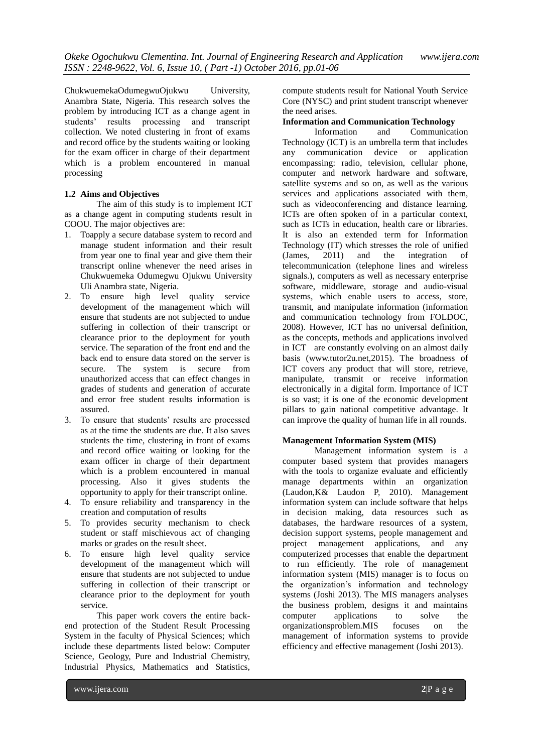ChukwuemekaOdumegwuOjukwu University, Anambra State, Nigeria. This research solves the problem by introducing ICT as a change agent in students' results processing and transcript collection. We noted clustering in front of exams and record office by the students waiting or looking for the exam officer in charge of their department which is a problem encountered in manual processing

#### **1.2 Aims and Objectives**

The aim of this study is to implement ICT as a change agent in computing students result in COOU. The major objectives are:

- 1. Toapply a secure database system to record and manage student information and their result from year one to final year and give them their transcript online whenever the need arises in Chukwuemeka Odumegwu Ojukwu University Uli Anambra state, Nigeria.
- 2. To ensure high level quality service development of the management which will ensure that students are not subjected to undue suffering in collection of their transcript or clearance prior to the deployment for youth service. The separation of the front end and the back end to ensure data stored on the server is secure. The system is secure from unauthorized access that can effect changes in grades of students and generation of accurate and error free student results information is assured.
- 3. To ensure that students' results are processed as at the time the students are due. It also saves students the time, clustering in front of exams and record office waiting or looking for the exam officer in charge of their department which is a problem encountered in manual processing. Also it gives students the opportunity to apply for their transcript online.
- 4. To ensure reliability and transparency in the creation and computation of results
- 5. To provides security mechanism to check student or staff mischievous act of changing marks or grades on the result sheet.
- 6. To ensure high level quality service development of the management which will ensure that students are not subjected to undue suffering in collection of their transcript or clearance prior to the deployment for youth service.

This paper work covers the entire backend protection of the Student Result Processing System in the faculty of Physical Sciences; which include these departments listed below: Computer Science, Geology, Pure and Industrial Chemistry, Industrial Physics, Mathematics and Statistics,

compute students result for National Youth Service Core (NYSC) and print student transcript whenever the need arises.

# **Information and Communication Technology**<br>Information and Communicat

and Communication Technology (ICT) is an umbrella term that includes any communication device or application encompassing: radio, television, cellular phone, computer and network hardware and software, satellite systems and so on, as well as the various services and applications associated with them, such as videoconferencing and distance learning. ICTs are often spoken of in a particular context, such as ICTs in education, health care or libraries. It is also an extended term for Information Technology (IT) which stresses the role of unified (James, 2011) and the integration of telecommunication (telephone lines and wireless signals.), computers as well as necessary enterprise software, middleware, storage and audio-visual systems, which enable users to access, store, transmit, and manipulate information (information and communication technology from FOLDOC, 2008). However, ICT has no universal definition, as the concepts, methods and applications involved in ICT are constantly evolving on an almost daily basis (www.tutor2u.net,2015). The broadness of ICT covers any product that will store, retrieve, manipulate, transmit or receive information electronically in a digital form. Importance of ICT is so vast; it is one of the economic development pillars to gain national competitive advantage. It can improve the quality of human life in all rounds.

#### **Management Information System (MIS)**

Management information system is a computer based system that provides managers with the tools to organize evaluate and efficiently manage departments within an organization (Laudon,K& Laudon P, 2010). Management information system can include software that helps in decision making, data resources such as databases, the hardware resources of a system, decision support systems, people management and project management applications, and any computerized processes that enable the department to run efficiently. The role of management information system (MIS) manager is to focus on the organization's information and technology systems (Joshi 2013). The MIS managers analyses the business problem, designs it and maintains computer applications to solve the organizationsproblem.MIS focuses on the management of information systems to provide efficiency and effective management (Joshi 2013).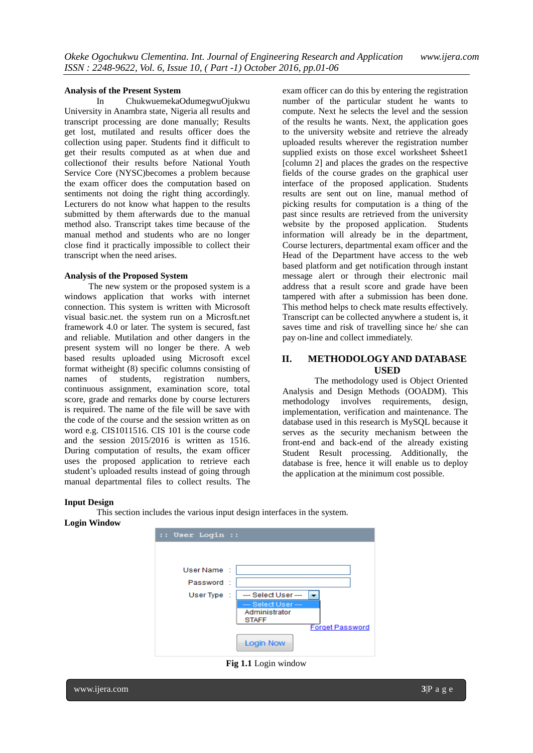#### **Analysis of the Present System**

In ChukwuemekaOdumegwuOjukwu University in Anambra state, Nigeria all results and transcript processing are done manually; Results get lost, mutilated and results officer does the collection using paper. Students find it difficult to get their results computed as at when due and collectionof their results before National Youth Service Core (NYSC)becomes a problem because the exam officer does the computation based on sentiments not doing the right thing accordingly. Lecturers do not know what happen to the results submitted by them afterwards due to the manual method also. Transcript takes time because of the manual method and students who are no longer close find it practically impossible to collect their transcript when the need arises.

#### **Analysis of the Proposed System**

The new system or the proposed system is a windows application that works with internet connection. This system is written with Microsoft visual basic.net. the system run on a Microsft.net framework 4.0 or later. The system is secured, fast and reliable. Mutilation and other dangers in the present system will no longer be there. A web based results uploaded using Microsoft excel format witheight (8) specific columns consisting of names of students, registration numbers, continuous assignment, examination score, total score, grade and remarks done by course lecturers is required. The name of the file will be save with the code of the course and the session written as on word e.g. CIS1011516. CIS 101 is the course code and the session 2015/2016 is written as 1516. During computation of results, the exam officer uses the proposed application to retrieve each student's uploaded results instead of going through manual departmental files to collect results. The

exam officer can do this by entering the registration number of the particular student he wants to compute. Next he selects the level and the session of the results he wants. Next, the application goes to the university website and retrieve the already uploaded results wherever the registration number supplied exists on those excel worksheet \$sheet1 [column 2] and places the grades on the respective fields of the course grades on the graphical user interface of the proposed application. Students results are sent out on line, manual method of picking results for computation is a thing of the past since results are retrieved from the university website by the proposed application. Students information will already be in the department, Course lecturers, departmental exam officer and the Head of the Department have access to the web based platform and get notification through instant message alert or through their electronic mail address that a result score and grade have been tampered with after a submission has been done. This method helps to check mate results effectively. Transcript can be collected anywhere a student is, it saves time and risk of travelling since he/ she can pay on-line and collect immediately.

## **II. METHODOLOGY AND DATABASE USED**

The methodology used is Object Oriented Analysis and Design Methods (OOADM). This methodology involves requirements, design, implementation, verification and maintenance. The database used in this research is MySQL because it serves as the security mechanism between the front-end and back-end of the already existing Student Result processing. Additionally, the database is free, hence it will enable us to deploy the application at the minimum cost possible.

#### **Input Design**

This section includes the various input design interfaces in the system. **Login Window**



**Fig 1.1** Login window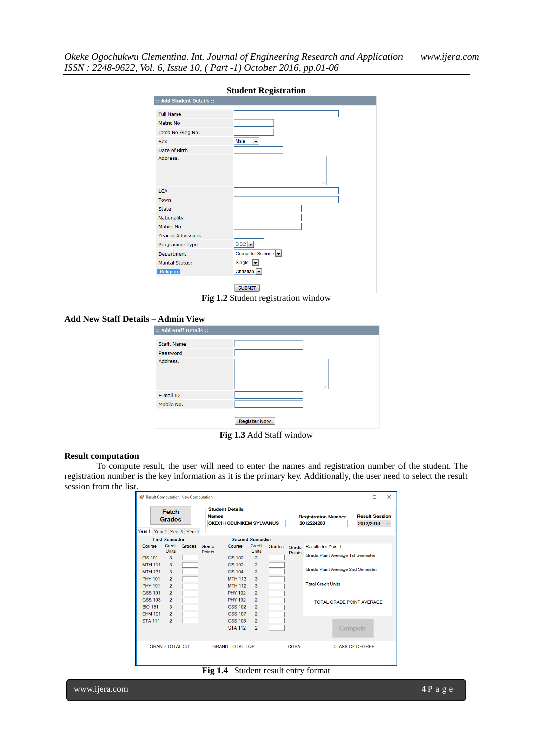|                                                                                       | <b>Student Registration</b>     |
|---------------------------------------------------------------------------------------|---------------------------------|
| :: Add Student Details ::                                                             |                                 |
| <b>Full Name</b><br>Matric No<br>Jamb No /Reg No:<br>Sex<br>Date of Birth<br>Address. | Male<br>▾                       |
| <b>LGA</b>                                                                            | aî.                             |
| Town                                                                                  |                                 |
| State                                                                                 |                                 |
| Nationality                                                                           |                                 |
| Mobile No.                                                                            |                                 |
| Year of Admission.                                                                    |                                 |
| Programme Type                                                                        | $BSC -$                         |
| Department                                                                            | Computer Science ~              |
| Marital Status:                                                                       | Single<br>▼                     |
| Religion                                                                              | Christian $\blacktriangleright$ |
|                                                                                       | <b>SUBMIT</b>                   |

**Fig 1.2** Student registration window

#### **Add New Staff Details – Admin View**

| :: Add Staff Details :: |                     |
|-------------------------|---------------------|
| Staff, Name             |                     |
| Password                |                     |
| Address.                | лî                  |
| E-mail ID               |                     |
| Mobile No.              |                     |
|                         | <b>Register Now</b> |

**Fig 1.3** Add Staff window

#### **Result computation**

To compute result, the user will need to enter the names and registration number of the student. The registration number is the key information as it is the primary key. Additionally, the user need to select the result session from the list.

| Result Computation: New Computation<br>Fetch<br><b>Grades</b><br>Year1 Year2 Year3 Year4 |                       |               | <b>Names</b>  | <b>Student Details</b><br><b>OKECHLOBUNIKEM SYLVANUS</b> |                |               | <b>Registration Number</b><br>2012224283 | <b>Result Session</b><br>2012/2013 | п | $\times$<br>$\checkmark$ |  |
|------------------------------------------------------------------------------------------|-----------------------|---------------|---------------|----------------------------------------------------------|----------------|---------------|------------------------------------------|------------------------------------|---|--------------------------|--|
|                                                                                          | <b>First Semester</b> |               |               | <b>Second Semester</b>                                   |                |               |                                          |                                    |   |                          |  |
| Course                                                                                   |                       | Credit Grades | Grade         | Course                                                   | Credit         | <b>Grades</b> | Grade                                    | Results for Year 1                 |   |                          |  |
|                                                                                          | <b>Units</b>          |               | <b>Points</b> |                                                          | <b>Units</b>   |               | Points                                   | Grade Point Average 1st Semester   |   |                          |  |
| <b>CIS 101</b>                                                                           | 3                     |               |               | <b>CIS 102</b>                                           | $\overline{2}$ |               |                                          |                                    |   |                          |  |
| <b>MTH 111</b>                                                                           | 3                     |               |               | <b>CIS 192</b>                                           | $\overline{2}$ |               |                                          |                                    |   |                          |  |
| <b>MTH 131</b>                                                                           | 3                     |               |               | <b>CIS 104</b>                                           | $\overline{2}$ |               |                                          | Grade Point Average 2nd Semester   |   |                          |  |
| <b>PHY 101</b>                                                                           | $\overline{2}$        |               |               | <b>MTH 113</b>                                           | 3              |               |                                          |                                    |   |                          |  |
| <b>PHY 191</b>                                                                           | $\overline{2}$        |               |               | <b>MTH 112</b>                                           | 3              |               |                                          | <b>Total Credit Units</b>          |   |                          |  |
| <b>GSS 101</b>                                                                           | $\overline{2}$        |               |               | <b>PHY 102</b>                                           | $\overline{2}$ |               |                                          |                                    |   |                          |  |
| <b>GSS 103</b>                                                                           | $\overline{2}$        |               |               | <b>PHY 192</b>                                           | $\overline{2}$ |               |                                          | TOTAL GRADE POINT AVERAGE          |   |                          |  |
| <b>BIO 151</b>                                                                           | 3                     |               |               | <b>GSS 102</b>                                           | $\overline{2}$ |               |                                          |                                    |   |                          |  |
| <b>CHM 101</b>                                                                           | $\overline{2}$        |               |               | <b>GSS 107</b>                                           | $\overline{2}$ |               |                                          |                                    |   |                          |  |
| <b>STA 111</b>                                                                           | $\overline{2}$        |               |               | <b>GSS 108</b>                                           | $\overline{2}$ |               |                                          |                                    |   |                          |  |
|                                                                                          |                       |               |               | <b>STA 112</b>                                           | $\overline{2}$ |               |                                          | Compute                            |   |                          |  |
| <b>GRAND TOTAL CU:</b>                                                                   |                       |               |               | <b>GRAND TOTAL TOP:</b>                                  |                |               | <b>CGPA:</b>                             | <b>CLASS OF DEGREE:</b>            |   |                          |  |

**Fig 1.4** Student result entry format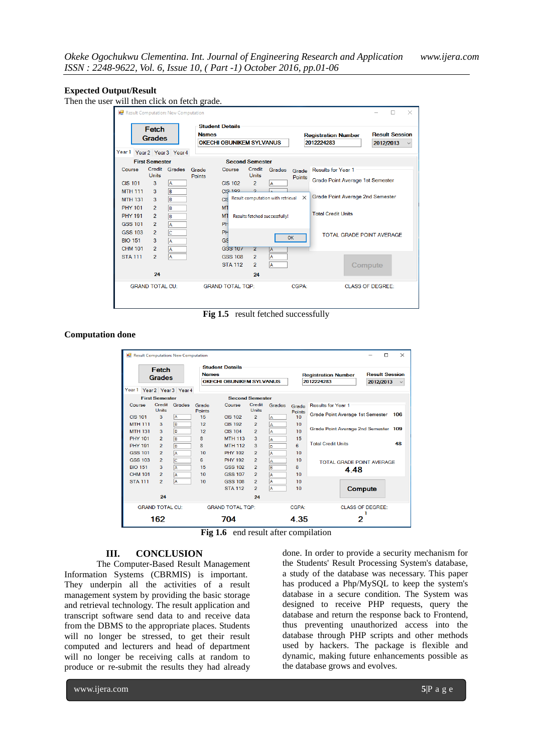#### **Expected Output/Result**

Then the user will then click on fetch grade.

| <b>B</b> Result Computation: New Computation |                        |               |                                                                           |                         |                               |                                   |              |                                          |                         |                                    | $\times$     |
|----------------------------------------------|------------------------|---------------|---------------------------------------------------------------------------|-------------------------|-------------------------------|-----------------------------------|--------------|------------------------------------------|-------------------------|------------------------------------|--------------|
|                                              | Fetch<br><b>Grades</b> |               | <b>Student Details</b><br><b>Names</b><br><b>OKECHI OBUNIKEM SYLVANUS</b> |                         |                               |                                   |              | <b>Registration Number</b><br>2012224283 |                         | <b>Result Session</b><br>2012/2013 | $\checkmark$ |
| Year 1 Year 2 Year 3 Year 4                  |                        |               |                                                                           |                         |                               |                                   |              |                                          |                         |                                    |              |
|                                              | <b>First Semester</b>  |               |                                                                           | <b>Second Semester</b>  |                               |                                   |              |                                          |                         |                                    |              |
| Course                                       |                        | Credit Grades | Grade                                                                     | Course                  | Credit                        | Grades                            | Grade        | <b>Results for Year 1</b>                |                         |                                    |              |
| <b>CIS 101</b>                               | Units<br>3             | A             | Points                                                                    | <b>CIS 102</b>          | <b>Units</b><br>$\mathcal{P}$ | IA.                               | Points       | Grade Point Average 1st Semester         |                         |                                    |              |
| <b>MTH 111</b>                               | $\mathbf{3}$           | B             |                                                                           | <b>CIS 192</b>          | $\overline{ }$                |                                   |              |                                          |                         |                                    |              |
| <b>MTH 131</b>                               | 3                      | B             |                                                                           | CIS                     |                               | Result computation with retrieval | $\times$     | Grade Point Average 2nd Semester         |                         |                                    |              |
| <b>PHY 101</b>                               | $\overline{2}$         | B             |                                                                           | <b>MT</b>               |                               |                                   |              |                                          |                         |                                    |              |
| <b>PHY 191</b>                               | $\overline{2}$         | B             |                                                                           | M <sub>1</sub>          |                               | Results fetched successfully!     |              | <b>Total Credit Units</b>                |                         |                                    |              |
| <b>GSS 101</b>                               | $\mathcal{P}$          | A             |                                                                           | PH                      |                               |                                   |              |                                          |                         |                                    |              |
| <b>GSS 103</b>                               | $\overline{2}$         | Ic            |                                                                           | PH                      |                               |                                   | OK           | <b>TOTAL GRADE POINT AVERAGE</b>         |                         |                                    |              |
| <b>BIO 151</b>                               | 3                      | A             |                                                                           | GS <sup>1</sup>         |                               |                                   |              |                                          |                         |                                    |              |
| <b>CHM 101</b>                               | $\overline{2}$         | A             |                                                                           | <b>GSS 107</b>          | 2                             | $\overline{A}$                    |              |                                          |                         |                                    |              |
| <b>STA 111</b>                               | $\overline{2}$         | A             |                                                                           | <b>GSS 108</b>          | $\overline{\mathbf{c}}$       | A                                 |              |                                          |                         |                                    |              |
|                                              |                        |               |                                                                           | <b>STA 112</b>          | $\overline{2}$                | A                                 |              |                                          | Compute                 |                                    |              |
|                                              | 24                     |               |                                                                           |                         | 24                            |                                   |              |                                          |                         |                                    |              |
|                                              | <b>GRAND TOTAL CU:</b> |               |                                                                           | <b>GRAND TOTAL TOP:</b> |                               |                                   | <b>CGPA:</b> |                                          | <b>CLASS OF DEGREE:</b> |                                    |              |

Fig 1.5 result fetched successfully

#### **Computation done**

| Result Computation: New Computation |                        |                      |                     |                                 |                               |            |                  |                                         | $\times$<br>П         |  |  |
|-------------------------------------|------------------------|----------------------|---------------------|---------------------------------|-------------------------------|------------|------------------|-----------------------------------------|-----------------------|--|--|
|                                     | Fetch                  |                      |                     | <b>Student Details</b>          |                               |            |                  |                                         |                       |  |  |
| <b>Grades</b>                       |                        |                      |                     | <b>Names</b>                    |                               |            |                  | <b>Registration Number</b>              | <b>Result Session</b> |  |  |
|                                     |                        |                      |                     | <b>OKECHI OBUNIKEM SYLVANUS</b> |                               |            |                  | 2012224283                              | 2012/2013             |  |  |
| Year <sub>1</sub>                   |                        | Year 2 Year 3 Year 4 |                     |                                 |                               |            |                  |                                         |                       |  |  |
|                                     | <b>First Semester</b>  |                      |                     | <b>Second Semester</b>          |                               |            |                  |                                         |                       |  |  |
| Course                              |                        | Credit Grades        | Grade               | Course                          | Credit                        | Grades     | Grade            | Results for Year 1                      |                       |  |  |
| <b>CIS 101</b>                      | <b>Units</b><br>3      | l A                  | <b>Points</b><br>15 | <b>CIS 102</b>                  | <b>Units</b><br>$\mathcal{P}$ |            | Points<br>10     | <b>Grade Point Average 1st Semester</b> | 106                   |  |  |
| <b>MTH 111</b>                      | 3                      | B                    | 12                  | <b>CIS 192</b>                  | $\overline{2}$                | IA.        | 10               |                                         |                       |  |  |
| <b>MTH 131</b>                      | 3                      | B                    | 12                  | <b>CIS 104</b>                  | $\overline{2}$                | IA.<br>l A | 10 <sup>10</sup> | Grade Point Average 2nd Semester 109    |                       |  |  |
| <b>PHY 101</b>                      | $\overline{2}$         | B                    | 8                   | <b>MTH 113</b>                  | 3                             |            | 15               |                                         |                       |  |  |
| <b>PHY 191</b>                      | $\overline{2}$         | B                    | 8                   | <b>MTH 112</b>                  | 3                             | l A<br>lo. | 6                | 48<br><b>Total Credit Units</b>         |                       |  |  |
| <b>GSS 101</b>                      | $\overline{2}$         | A                    | 10                  | <b>PHY 102</b>                  | $\overline{2}$                | A          | 10               |                                         |                       |  |  |
| <b>GSS 103</b>                      | $\overline{2}$         | c                    | 6                   | <b>PHY 192</b>                  | $\overline{2}$                | A          | 10               |                                         |                       |  |  |
| <b>BIO 151</b>                      | 3                      | A                    | 15                  | <b>GSS 102</b>                  | $\overline{2}$                | B          | 8                | <b>TOTAL GRADE POINT AVERAGE</b>        |                       |  |  |
| <b>CHM 101</b>                      | $\mathcal{P}$          | A                    | 10                  | <b>GSS 107</b>                  | $\overline{2}$                | A          | 10               | 4.48                                    |                       |  |  |
| <b>STA 111</b>                      | $\overline{2}$         | A                    | 10                  | <b>GSS 108</b>                  | $\overline{2}$                | A          | 10               |                                         |                       |  |  |
|                                     |                        |                      |                     | <b>STA 112</b>                  | $\overline{2}$                | A          | 10               | Compute                                 |                       |  |  |
|                                     | 24                     |                      |                     |                                 | 24                            |            |                  |                                         |                       |  |  |
|                                     | <b>GRAND TOTAL CU:</b> |                      |                     | <b>GRAND TOTAL TOP:</b>         |                               |            | CGPA:            | CLASS OF DEGREE:                        |                       |  |  |
|                                     | 162                    |                      |                     | 704                             |                               |            | 4.35             | 2                                       |                       |  |  |

Fig 1.6 end result after compilation

### **III. CONCLUSION**

The Computer-Based Result Management Information Systems (CBRMIS) is important. They underpin all the activities of a result management system by providing the basic storage and retrieval technology. The result application and transcript software send data to and receive data from the DBMS to the appropriate places. Students will no longer be stressed, to get their result computed and lecturers and head of department will no longer be receiving calls at random to produce or re-submit the results they had already

done. In order to provide a security mechanism for the Students' Result Processing System's database, a study of the database was necessary. This paper has produced a Php/MySQL to keep the system's database in a secure condition. The System was designed to receive PHP requests, query the database and return the response back to Frontend, thus preventing unauthorized access into the database through PHP scripts and other methods used by hackers. The package is flexible and dynamic, making future enhancements possible as the database grows and evolves.